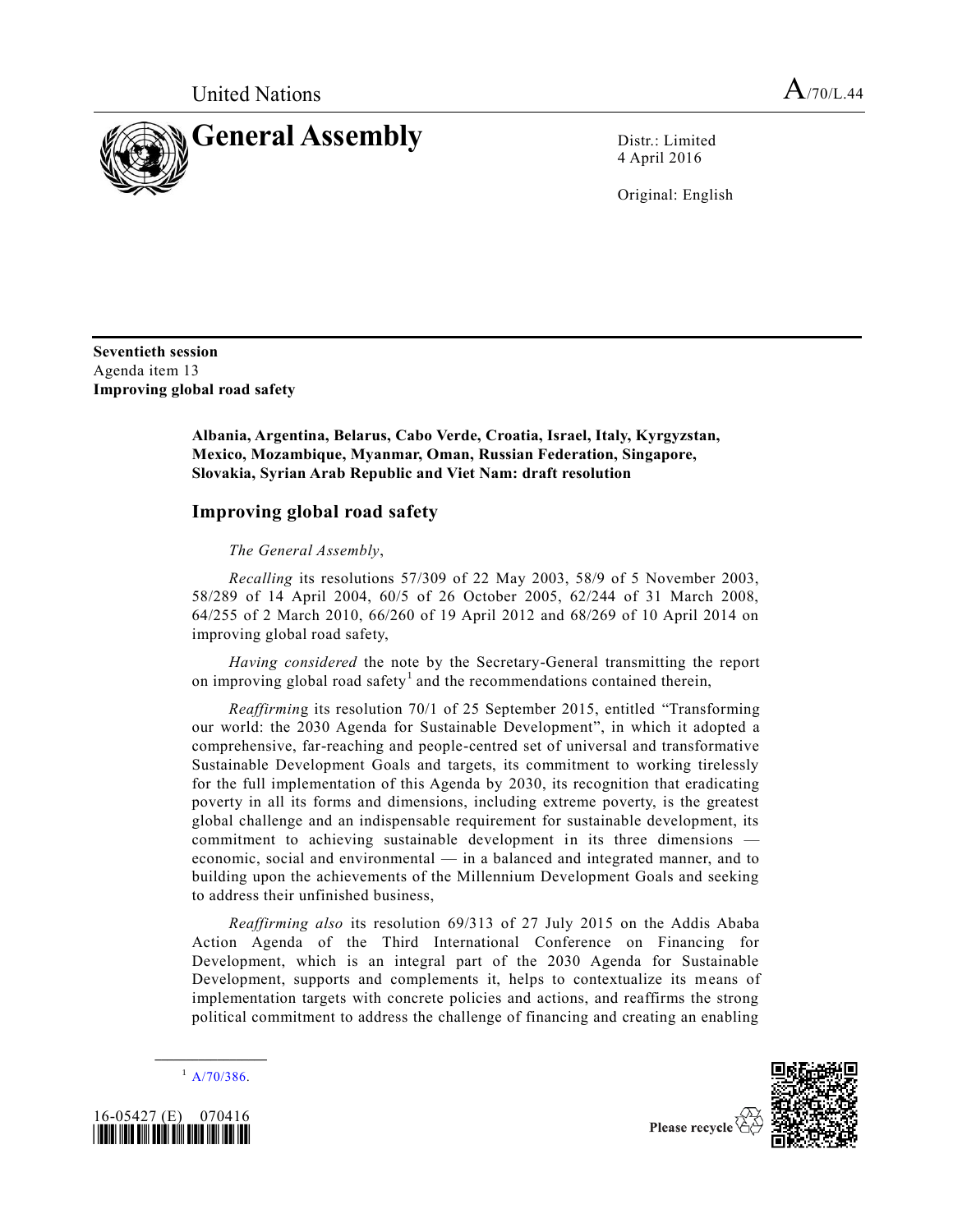

4 April 2016

Original: English

**Seventieth session** Agenda item 13 **Improving global road safety**

> **Albania, Argentina, Belarus, Cabo Verde, Croatia, Israel, Italy, Kyrgyzstan, Mexico, Mozambique, Myanmar, Oman, Russian Federation, Singapore, Slovakia, Syrian Arab Republic and Viet Nam: draft resolution**

## **Improving global road safety**

*The General Assembly*,

*Recalling* its resolutions 57/309 of 22 May 2003, 58/9 of 5 November 2003, 58/289 of 14 April 2004, 60/5 of 26 October 2005, 62/244 of 31 March 2008, 64/255 of 2 March 2010, 66/260 of 19 April 2012 and 68/269 of 10 April 2014 on improving global road safety,

*Having considered* the note by the Secretary-General transmitting the report on improving global road safety<sup>1</sup> and the recommendations contained therein,

*Reaffirmin*g its resolution 70/1 of 25 September 2015, entitled "Transforming our world: the 2030 Agenda for Sustainable Development", in which it adopted a comprehensive, far-reaching and people-centred set of universal and transformative Sustainable Development Goals and targets, its commitment to working tirelessly for the full implementation of this Agenda by 2030, its recognition that eradicating poverty in all its forms and dimensions, including extreme poverty, is the greatest global challenge and an indispensable requirement for sustainable development, its commitment to achieving sustainable development in its three dimensions economic, social and environmental — in a balanced and integrated manner, and to building upon the achievements of the Millennium Development Goals and seeking to address their unfinished business,

*Reaffirming also* its resolution 69/313 of 27 July 2015 on the Addis Ababa Action Agenda of the Third International Conference on Financing for Development, which is an integral part of the 2030 Agenda for Sustainable Development, supports and complements it, helps to contextualize its means of implementation targets with concrete policies and actions, and reaffirms the strong political commitment to address the challenge of financing and creating an enabling

**\_\_\_\_\_\_\_\_\_\_\_\_\_\_\_\_\_\_**  $^{1}$  [A/70/386.](http://undocs.org/A/70/386)



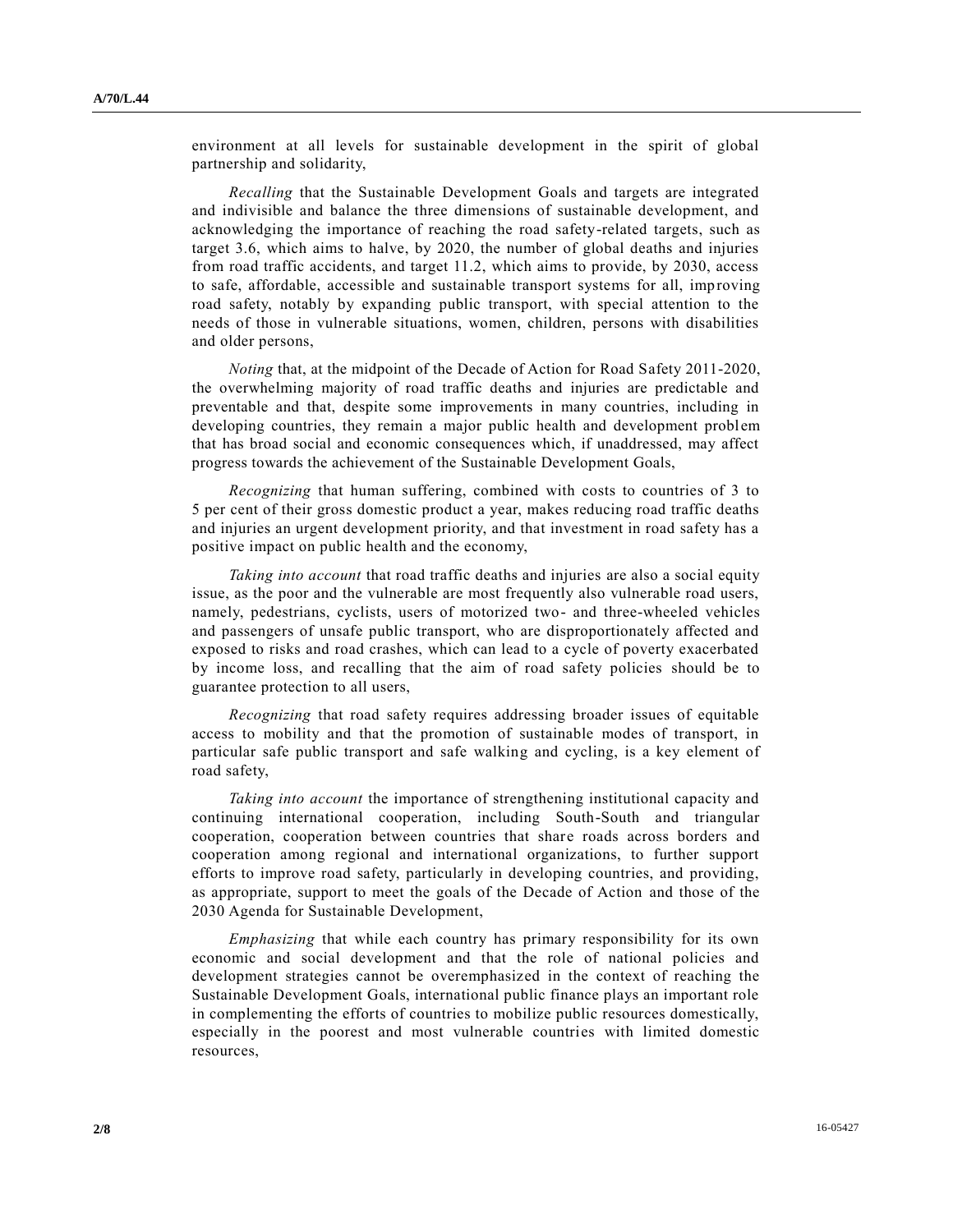environment at all levels for sustainable development in the spirit of global partnership and solidarity,

*Recalling* that the Sustainable Development Goals and targets are integrated and indivisible and balance the three dimensions of sustainable development, and acknowledging the importance of reaching the road safety-related targets, such as target 3.6, which aims to halve, by 2020, the number of global deaths and injuries from road traffic accidents, and target 11.2, which aims to provide, by 2030, access to safe, affordable, accessible and sustainable transport systems for all, imp roving road safety, notably by expanding public transport, with special attention to the needs of those in vulnerable situations, women, children, persons with disabilities and older persons,

*Noting* that, at the midpoint of the Decade of Action for Road Safety 2011-2020, the overwhelming majority of road traffic deaths and injuries are predictable and preventable and that, despite some improvements in many countries, including in developing countries, they remain a major public health and development problem that has broad social and economic consequences which, if unaddressed, may affect progress towards the achievement of the Sustainable Development Goals,

*Recognizing* that human suffering, combined with costs to countries of 3 to 5 per cent of their gross domestic product a year, makes reducing road traffic deaths and injuries an urgent development priority, and that investment in road safety has a positive impact on public health and the economy,

*Taking into account* that road traffic deaths and injuries are also a social equity issue, as the poor and the vulnerable are most frequently also vulnerable road users, namely, pedestrians, cyclists, users of motorized two- and three-wheeled vehicles and passengers of unsafe public transport, who are disproportionately affected and exposed to risks and road crashes, which can lead to a cycle of poverty exacerbated by income loss, and recalling that the aim of road safety policies should be to guarantee protection to all users,

*Recognizing* that road safety requires addressing broader issues of equitable access to mobility and that the promotion of sustainable modes of transport, in particular safe public transport and safe walking and cycling, is a key element of road safety,

*Taking into account* the importance of strengthening institutional capacity and continuing international cooperation, including South-South and triangular cooperation, cooperation between countries that share roads across borders and cooperation among regional and international organizations, to further support efforts to improve road safety, particularly in developing countries, and providing, as appropriate, support to meet the goals of the Decade of Action and those of the 2030 Agenda for Sustainable Development,

*Emphasizing* that while each country has primary responsibility for its own economic and social development and that the role of national policies and development strategies cannot be overemphasized in the context of reaching the Sustainable Development Goals, international public finance plays an important role in complementing the efforts of countries to mobilize public resources domestically, especially in the poorest and most vulnerable countries with limited domestic resources,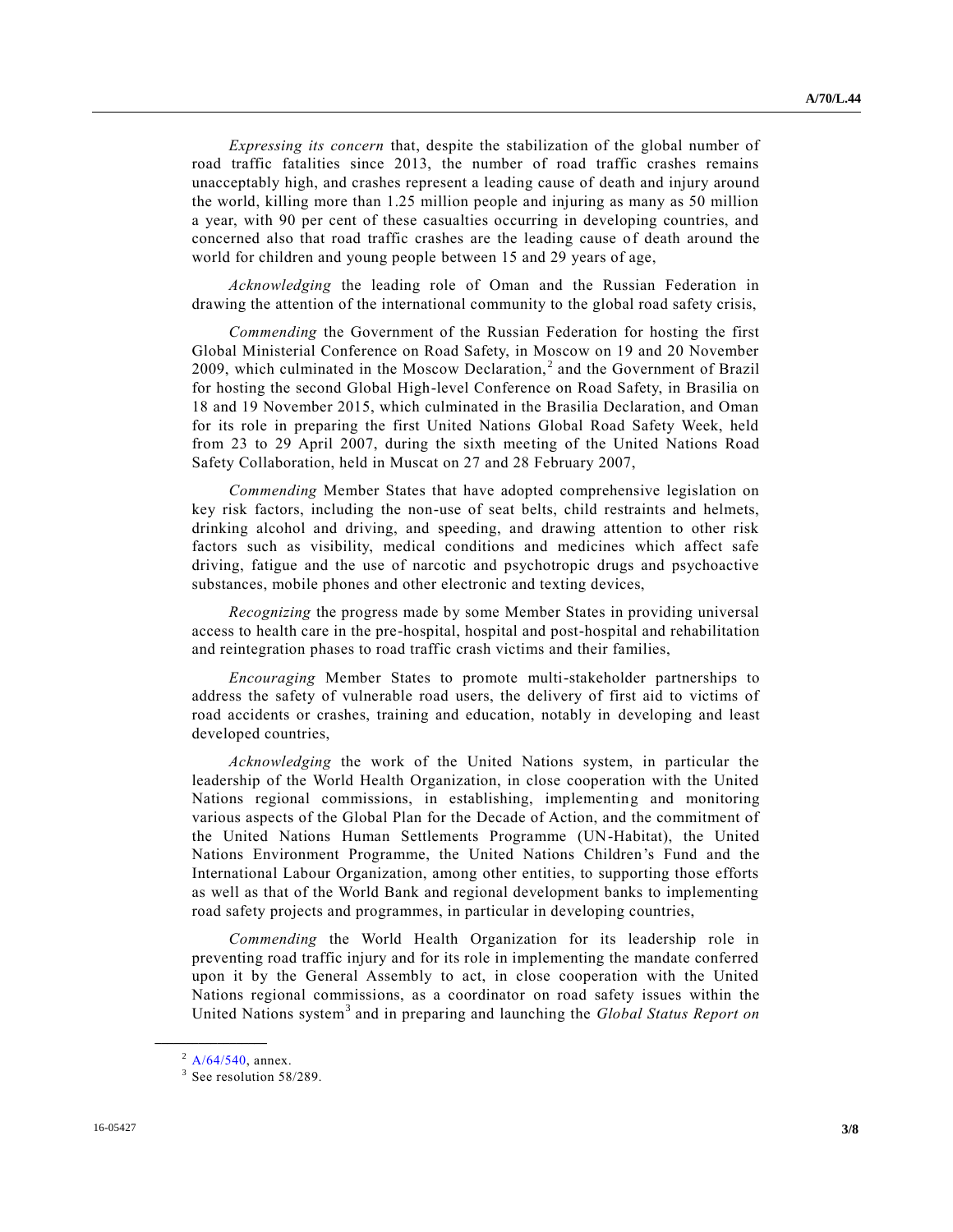*Expressing its concern* that, despite the stabilization of the global number of road traffic fatalities since 2013, the number of road traffic crashes remains unacceptably high, and crashes represent a leading cause of death and injury around the world, killing more than 1.25 million people and injuring as many as 50 million a year, with 90 per cent of these casualties occurring in developing countries, and concerned also that road traffic crashes are the leading cause of death around the world for children and young people between 15 and 29 years of age,

*Acknowledging* the leading role of Oman and the Russian Federation in drawing the attention of the international community to the global road safety crisis,

*Commending* the Government of the Russian Federation for hosting the first Global Ministerial Conference on Road Safety, in Moscow on 19 and 20 November 2009, which culminated in the Moscow Declaration,<sup>2</sup> and the Government of Brazil for hosting the second Global High-level Conference on Road Safety, in Brasilia on 18 and 19 November 2015, which culminated in the Brasilia Declaration, and Oman for its role in preparing the first United Nations Global Road Safety Week, held from 23 to 29 April 2007, during the sixth meeting of the United Nations Road Safety Collaboration, held in Muscat on 27 and 28 February 2007,

*Commending* Member States that have adopted comprehensive legislation on key risk factors, including the non-use of seat belts, child restraints and helmets, drinking alcohol and driving, and speeding, and drawing attention to other risk factors such as visibility, medical conditions and medicines which affect safe driving, fatigue and the use of narcotic and psychotropic drugs and psychoactive substances, mobile phones and other electronic and texting devices,

*Recognizing* the progress made by some Member States in providing universal access to health care in the pre-hospital, hospital and post-hospital and rehabilitation and reintegration phases to road traffic crash victims and their families,

*Encouraging* Member States to promote multi-stakeholder partnerships to address the safety of vulnerable road users, the delivery of first aid to victims of road accidents or crashes, training and education, notably in developing and least developed countries,

*Acknowledging* the work of the United Nations system, in particular the leadership of the World Health Organization, in close cooperation with the United Nations regional commissions, in establishing, implementing and monitoring various aspects of the Global Plan for the Decade of Action, and the commitment of the United Nations Human Settlements Programme (UN-Habitat), the United Nations Environment Programme, the United Nations Children's Fund and the International Labour Organization, among other entities, to supporting those efforts as well as that of the World Bank and regional development banks to implementing road safety projects and programmes, in particular in developing countries,

*Commending* the World Health Organization for its leadership role in preventing road traffic injury and for its role in implementing the mandate conferred upon it by the General Assembly to act, in close cooperation with the United Nations regional commissions, as a coordinator on road safety issues within the United Nations system<sup>3</sup> and in preparing and launching the *Global Status Report on* 

 $^{2}$  [A/64/540,](http://undocs.org/A/64/540) annex.

<sup>&</sup>lt;sup>3</sup> See resolution 58/289.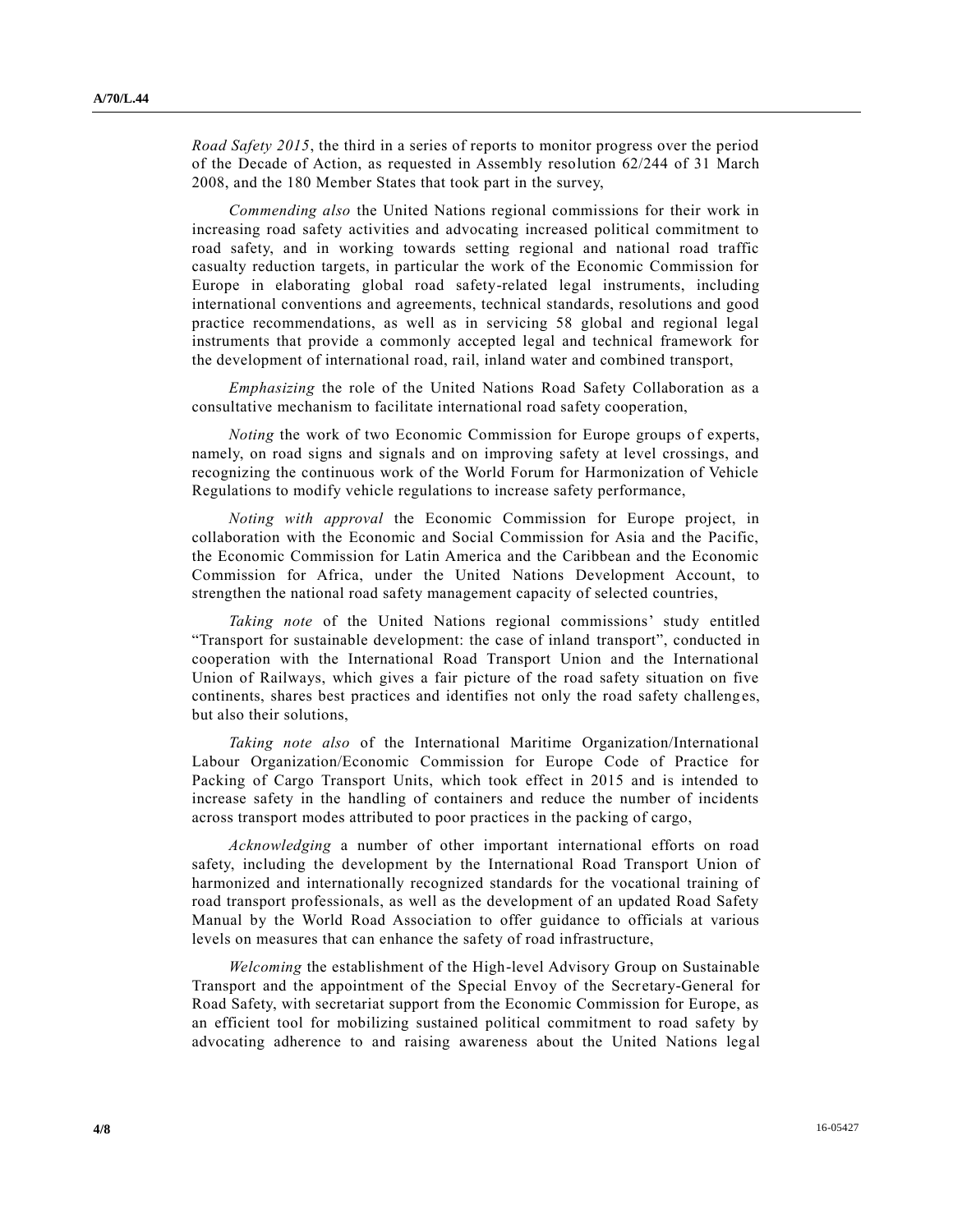*Road Safety 2015*, the third in a series of reports to monitor progress over the period of the Decade of Action, as requested in Assembly resolution 62/244 of 31 March 2008, and the 180 Member States that took part in the survey,

*Commending also* the United Nations regional commissions for their work in increasing road safety activities and advocating increased political commitment to road safety, and in working towards setting regional and national road traffic casualty reduction targets, in particular the work of the Economic Commission for Europe in elaborating global road safety-related legal instruments, including international conventions and agreements, technical standards, resolutions and good practice recommendations, as well as in servicing 58 global and regional legal instruments that provide a commonly accepted legal and technical framework for the development of international road, rail, inland water and combined transport,

*Emphasizing* the role of the United Nations Road Safety Collaboration as a consultative mechanism to facilitate international road safety cooperation,

*Noting* the work of two Economic Commission for Europe groups of experts, namely, on road signs and signals and on improving safety at level crossings, and recognizing the continuous work of the World Forum for Harmonization of Vehicle Regulations to modify vehicle regulations to increase safety performance,

*Noting with approval* the Economic Commission for Europe project, in collaboration with the Economic and Social Commission for Asia and the Pacific, the Economic Commission for Latin America and the Caribbean and the Economic Commission for Africa, under the United Nations Development Account, to strengthen the national road safety management capacity of selected countries,

*Taking note* of the United Nations regional commissions' study entitled "Transport for sustainable development: the case of inland transport", conducted in cooperation with the International Road Transport Union and the International Union of Railways, which gives a fair picture of the road safety situation on five continents, shares best practices and identifies not only the road safety challenges, but also their solutions,

*Taking note also* of the International Maritime Organization/International Labour Organization/Economic Commission for Europe Code of Practice for Packing of Cargo Transport Units, which took effect in 2015 and is intended to increase safety in the handling of containers and reduce the number of incidents across transport modes attributed to poor practices in the packing of cargo,

*Acknowledging* a number of other important international efforts on road safety, including the development by the International Road Transport Union of harmonized and internationally recognized standards for the vocational training of road transport professionals, as well as the development of an updated Road Safety Manual by the World Road Association to offer guidance to officials at various levels on measures that can enhance the safety of road infrastructure,

*Welcoming* the establishment of the High-level Advisory Group on Sustainable Transport and the appointment of the Special Envoy of the Secretary-General for Road Safety, with secretariat support from the Economic Commission for Europe, as an efficient tool for mobilizing sustained political commitment to road safety by advocating adherence to and raising awareness about the United Nations legal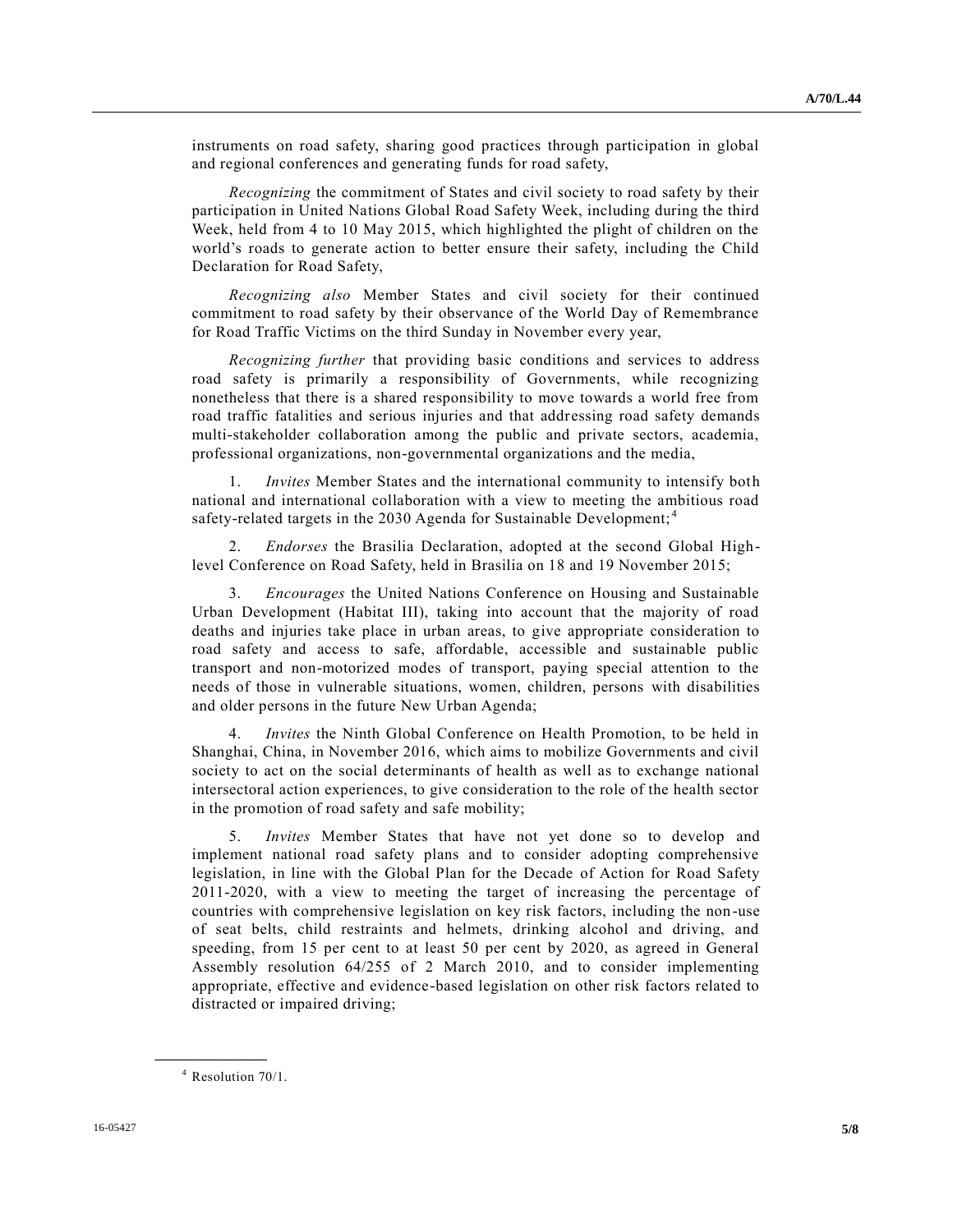instruments on road safety, sharing good practices through participation in global and regional conferences and generating funds for road safety,

*Recognizing* the commitment of States and civil society to road safety by their participation in United Nations Global Road Safety Week, including during the third Week, held from 4 to 10 May 2015, which highlighted the plight of children on the world's roads to generate action to better ensure their safety, including the Child Declaration for Road Safety,

*Recognizing also* Member States and civil society for their continued commitment to road safety by their observance of the World Day of Remembrance for Road Traffic Victims on the third Sunday in November every year,

*Recognizing further* that providing basic conditions and services to address road safety is primarily a responsibility of Governments, while recognizing nonetheless that there is a shared responsibility to move towards a world free from road traffic fatalities and serious injuries and that addressing road safety demands multi-stakeholder collaboration among the public and private sectors, academia, professional organizations, non-governmental organizations and the media,

1. *Invites* Member States and the international community to intensify both national and international collaboration with a view to meeting the ambitious road safety-related targets in the 2030 Agenda for Sustainable Development;<sup>4</sup>

2. *Endorses* the Brasilia Declaration, adopted at the second Global Highlevel Conference on Road Safety, held in Brasilia on 18 and 19 November 2015;

3. *Encourages* the United Nations Conference on Housing and Sustainable Urban Development (Habitat III), taking into account that the majority of road deaths and injuries take place in urban areas, to give appropriate consideration to road safety and access to safe, affordable, accessible and sustainable public transport and non-motorized modes of transport, paying special attention to the needs of those in vulnerable situations, women, children, persons with disabilities and older persons in the future New Urban Agenda;

4. *Invites* the Ninth Global Conference on Health Promotion, to be held in Shanghai, China, in November 2016, which aims to mobilize Governments and civil society to act on the social determinants of health as well as to exchange national intersectoral action experiences, to give consideration to the role of the health sector in the promotion of road safety and safe mobility;

5. *Invites* Member States that have not yet done so to develop and implement national road safety plans and to consider adopting comprehensive legislation, in line with the Global Plan for the Decade of Action for Road Safety 2011-2020, with a view to meeting the target of increasing the percentage of countries with comprehensive legislation on key risk factors, including the non-use of seat belts, child restraints and helmets, drinking alcohol and driving, and speeding, from 15 per cent to at least 50 per cent by 2020, as agreed in General Assembly resolution 64/255 of 2 March 2010, and to consider implementing appropriate, effective and evidence-based legislation on other risk factors related to distracted or impaired driving;

<sup>4</sup> Resolution 70/1.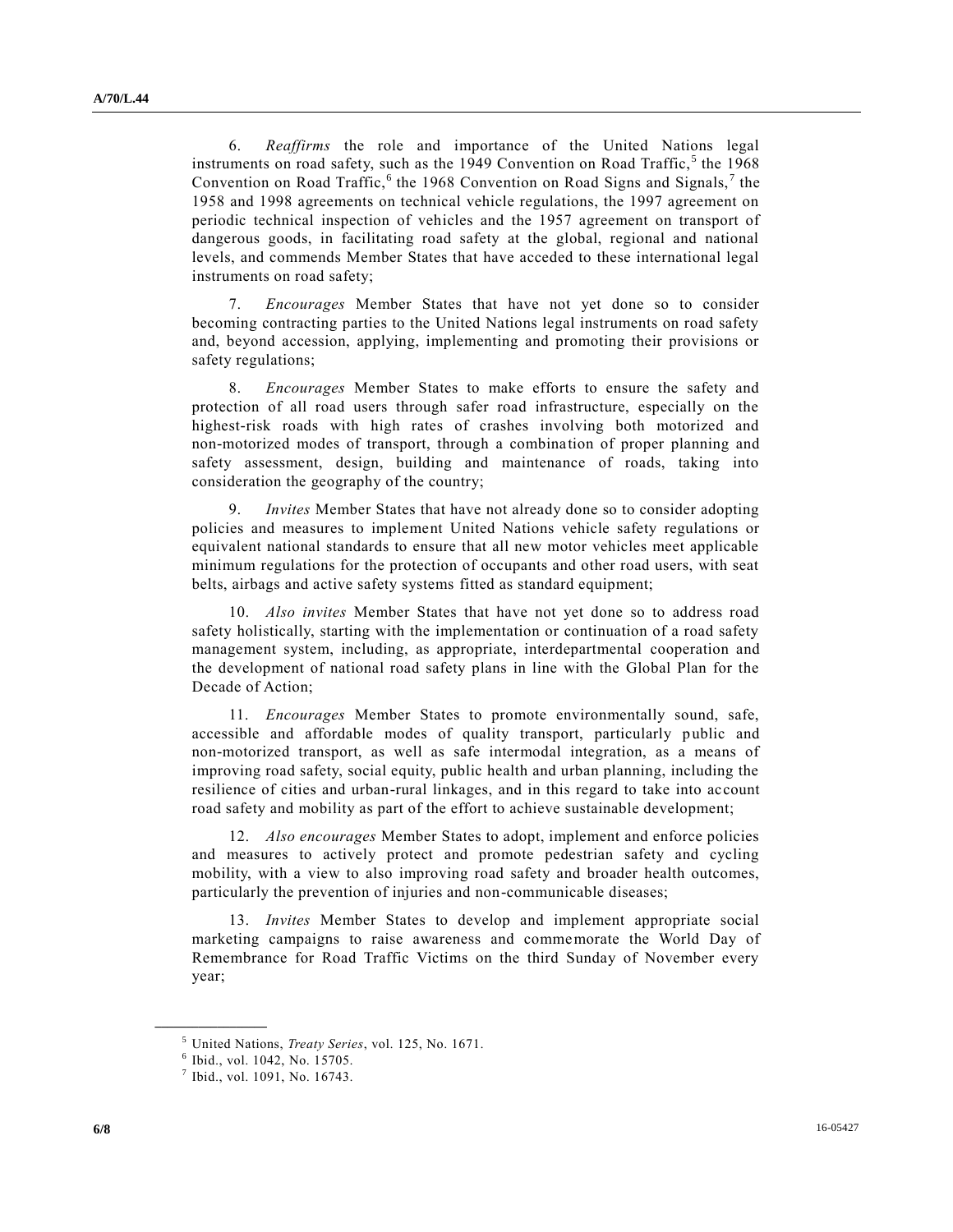6. *Reaffirms* the role and importance of the United Nations legal instruments on road safety, such as the 1949 Convention on Road Traffic,<sup>5</sup> the 1968 Convention on Road Traffic,  $6$  the 1968 Convention on Road Signs and Signals,  $7$  the 1958 and 1998 agreements on technical vehicle regulations, the 1997 agreement on periodic technical inspection of vehicles and the 1957 agreement on transport of dangerous goods, in facilitating road safety at the global, regional and national levels, and commends Member States that have acceded to these international legal instruments on road safety;

7. *Encourages* Member States that have not yet done so to consider becoming contracting parties to the United Nations legal instruments on road safety and, beyond accession, applying, implementing and promoting their provisions or safety regulations;

8. *Encourages* Member States to make efforts to ensure the safety and protection of all road users through safer road infrastructure, especially on the highest-risk roads with high rates of crashes involving both motorized and non-motorized modes of transport, through a combination of proper planning and safety assessment, design, building and maintenance of roads, taking into consideration the geography of the country;

9. *Invites* Member States that have not already done so to consider adopting policies and measures to implement United Nations vehicle safety regulations or equivalent national standards to ensure that all new motor vehicles meet applicable minimum regulations for the protection of occupants and other road users, with seat belts, airbags and active safety systems fitted as standard equipment;

10. *Also invites* Member States that have not yet done so to address road safety holistically, starting with the implementation or continuation of a road safety management system, including, as appropriate, interdepartmental cooperation and the development of national road safety plans in line with the Global Plan for the Decade of Action;

11. *Encourages* Member States to promote environmentally sound, safe, accessible and affordable modes of quality transport, particularly public and non-motorized transport, as well as safe intermodal integration, as a means of improving road safety, social equity, public health and urban planning, including the resilience of cities and urban-rural linkages, and in this regard to take into account road safety and mobility as part of the effort to achieve sustainable development;

12. *Also encourages* Member States to adopt, implement and enforce policies and measures to actively protect and promote pedestrian safety and cycling mobility, with a view to also improving road safety and broader health outcomes, particularly the prevention of injuries and non-communicable diseases;

13. *Invites* Member States to develop and implement appropriate social marketing campaigns to raise awareness and commemorate the World Day of Remembrance for Road Traffic Victims on the third Sunday of November every year;

<sup>5</sup> United Nations, *Treaty Series*, vol. 125, No. 1671.

<sup>6</sup> Ibid., vol. 1042, No. 15705.

<sup>7</sup> Ibid., vol. 1091, No. 16743.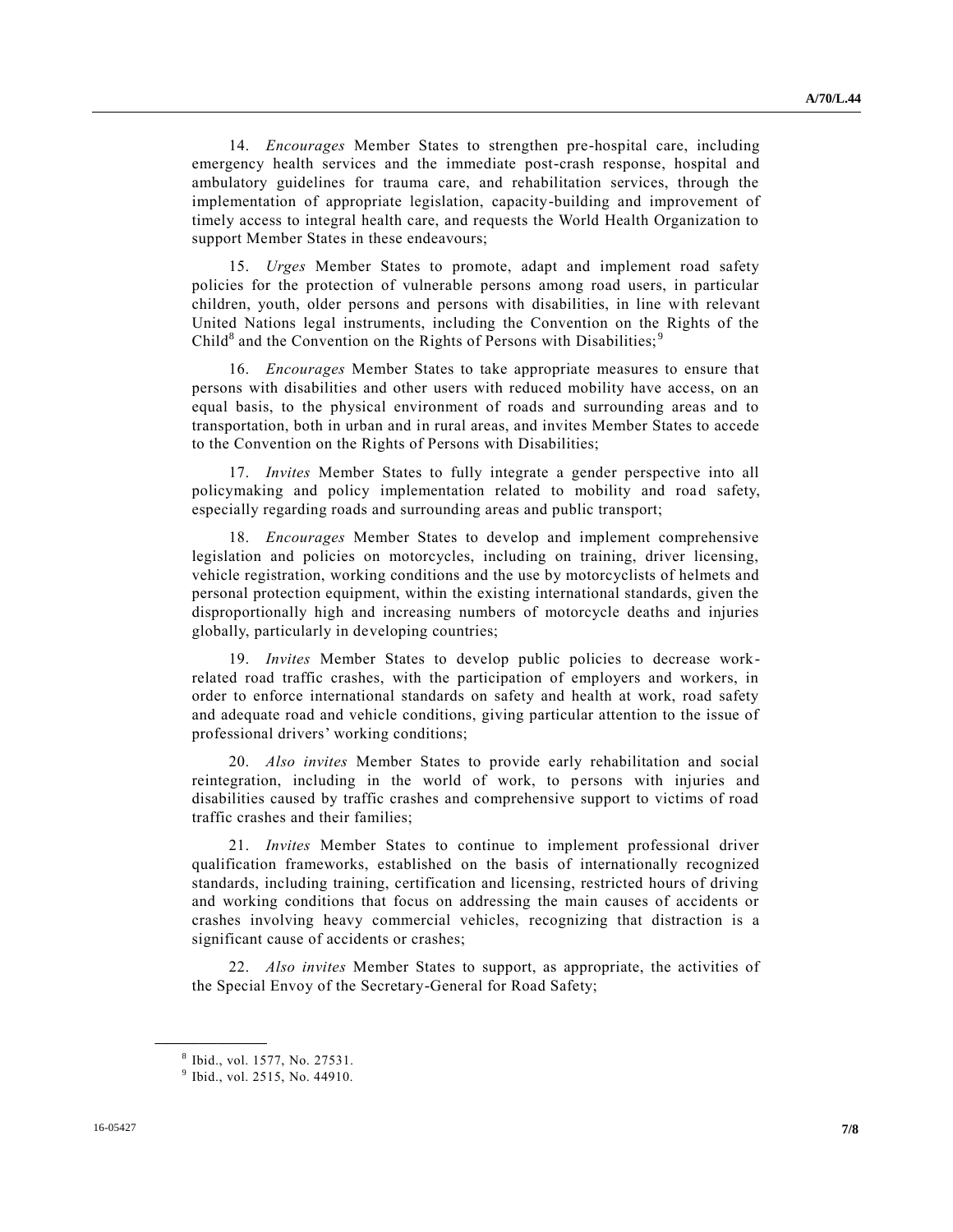14. *Encourages* Member States to strengthen pre-hospital care, including emergency health services and the immediate post-crash response, hospital and ambulatory guidelines for trauma care, and rehabilitation services, through the implementation of appropriate legislation, capacity-building and improvement of timely access to integral health care, and requests the World Health Organization to support Member States in these endeavours;

15. *Urges* Member States to promote, adapt and implement road safety policies for the protection of vulnerable persons among road users, in particular children, youth, older persons and persons with disabilities, in line with relevant United Nations legal instruments, including the Convention on the Rights of the Child<sup>8</sup> and the Convention on the Rights of Persons with Disabilities;<sup>9</sup>

16. *Encourages* Member States to take appropriate measures to ensure that persons with disabilities and other users with reduced mobility have access, on an equal basis, to the physical environment of roads and surrounding areas and to transportation, both in urban and in rural areas, and invites Member States to accede to the Convention on the Rights of Persons with Disabilities;

17. *Invites* Member States to fully integrate a gender perspective into all policymaking and policy implementation related to mobility and road safety, especially regarding roads and surrounding areas and public transport;

18. *Encourages* Member States to develop and implement comprehensive legislation and policies on motorcycles, including on training, driver licensing, vehicle registration, working conditions and the use by motorcyclists of helmets and personal protection equipment, within the existing international standards, given the disproportionally high and increasing numbers of motorcycle deaths and injuries globally, particularly in developing countries;

19. *Invites* Member States to develop public policies to decrease workrelated road traffic crashes, with the participation of employers and workers, in order to enforce international standards on safety and health at work, road safety and adequate road and vehicle conditions, giving particular attention to the issue of professional drivers' working conditions;

20. *Also invites* Member States to provide early rehabilitation and social reintegration, including in the world of work, to persons with injuries and disabilities caused by traffic crashes and comprehensive support to victims of road traffic crashes and their families;

21. *Invites* Member States to continue to implement professional driver qualification frameworks, established on the basis of internationally recognized standards, including training, certification and licensing, restricted hours of driving and working conditions that focus on addressing the main causes of accidents or crashes involving heavy commercial vehicles, recognizing that distraction is a significant cause of accidents or crashes;

22. *Also invites* Member States to support, as appropriate, the activities of the Special Envoy of the Secretary-General for Road Safety;

<sup>8</sup> Ibid., vol. 1577, No. 27531.

<sup>&</sup>lt;sup>9</sup> Ibid., vol. 2515, No. 44910.